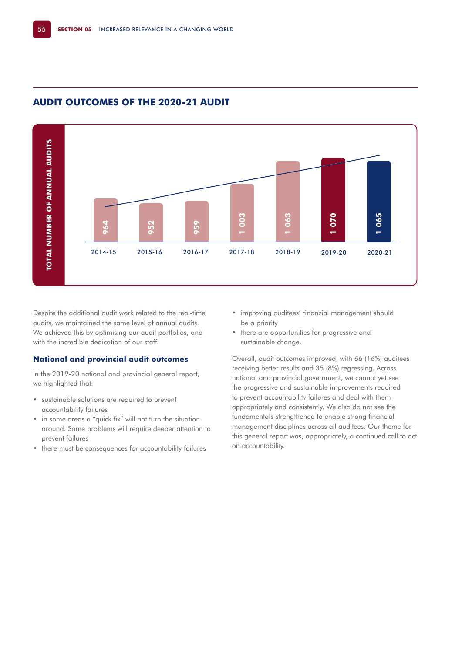

# **AUDIT OUTCOMES OF THE 2020-21 AUDIT**

Despite the additional audit work related to the real-time audits, we maintained the same level of annual audits. We achieved this by optimising our audit portfolios, and with the incredible dedication of our staff.

### **National and provincial audit outcomes**

In the 2019-20 national and provincial general report, we highlighted that:

- sustainable solutions are required to prevent accountability failures
- in some areas a "quick fix" will not turn the situation around. Some problems will require deeper attention to prevent failures
- there must be consequences for accountability failures
- improving auditees' financial management should be a priority
- there are opportunities for progressive and sustainable change.

Overall, audit outcomes improved, with 66 (16%) auditees receiving better results and 35 (8%) regressing. Across national and provincial government, we cannot yet see the progressive and sustainable improvements required to prevent accountability failures and deal with them appropriately and consistently. We also do not see the fundamentals strengthened to enable strong financial management disciplines across all auditees. Our theme for this general report was, appropriately, a continued call to act on accountability.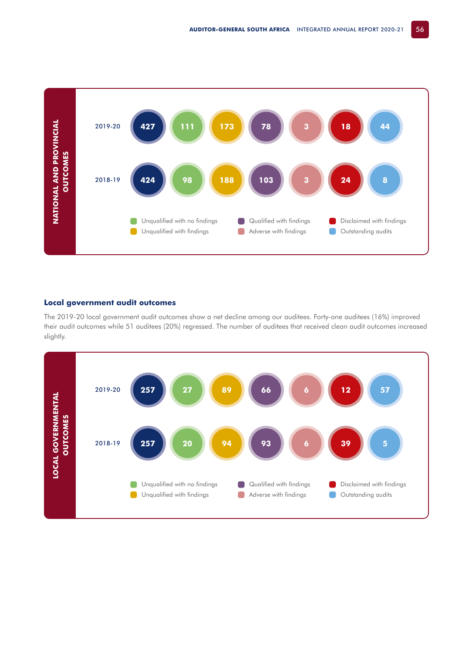

## **Local government audit outcomes**

The 2019-20 local government audit outcomes show a net decline among our auditees. Forty-one auditees (16%) improved their audit outcomes while 51 auditees (20%) regressed. The number of auditees that received clean audit outcomes increased slightly.

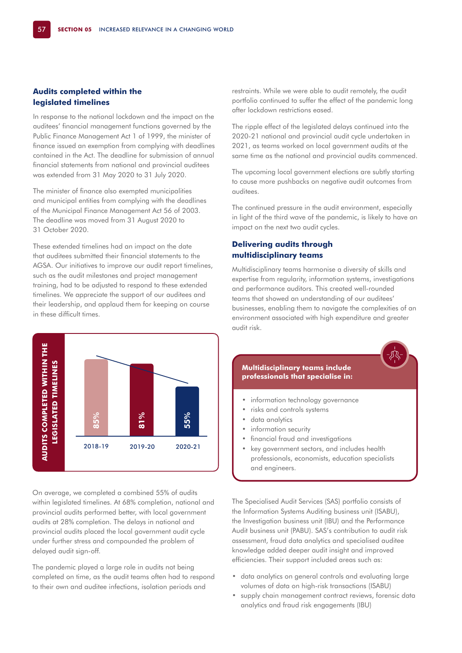## **Audits completed within the legislated timelines**

In response to the national lockdown and the impact on the auditees' financial management functions governed by the Public Finance Management Act 1 of 1999, the minister of finance issued an exemption from complying with deadlines contained in the Act. The deadline for submission of annual financial statements from national and provincial auditees was extended from 31 May 2020 to 31 July 2020.

The minister of finance also exempted municipalities and municipal entities from complying with the deadlines of the Municipal Finance Management Act 56 of 2003. The deadline was moved from 31 August 2020 to 31 October 2020.

These extended timelines had an impact on the date that auditees submitted their financial statements to the AGSA. Our initiatives to improve our audit report timelines, such as the audit milestones and project management training, had to be adjusted to respond to these extended timelines. We appreciate the support of our auditees and their leadership, and applaud them for keeping on course in these difficult times.



The ripple effect of the legislated delays continued into the 2020-21 national and provincial audit cycle undertaken in 2021, as teams worked on local government audits at the same time as the national and provincial audits commenced.

The upcoming local government elections are subtly starting to cause more pushbacks on negative audit outcomes from auditees.

The continued pressure in the audit environment, especially in light of the third wave of the pandemic, is likely to have an impact on the next two audit cycles.

## **Delivering audits through multidisciplinary teams**

Multidisciplinary teams harmonise a diversity of skills and expertise from regularity, information systems, investigations and performance auditors. This created well-rounded teams that showed an understanding of our auditees' businesses, enabling them to navigate the complexities of an environment associated with high expenditure and greater audit risk.



On average, we completed a combined 55% of audits within legislated timelines. At 68% completion, national and provincial audits performed better, with local government audits at 28% completion. The delays in national and provincial audits placed the local government audit cycle under further stress and compounded the problem of delayed audit sign-off.

The pandemic played a large role in audits not being completed on time, as the audit teams often had to respond to their own and auditee infections, isolation periods and



- information technology governance
- risks and controls systems
- data analytics
- information security
- financial fraud and investigations
- key government sectors, and includes health professionals, economists, education specialists and engineers.

The Specialised Audit Services (SAS) portfolio consists of the Information Systems Auditing business unit (ISABU), the Investigation business unit (IBU) and the Performance Audit business unit (PABU). SAS's contribution to audit risk assessment, fraud data analytics and specialised auditee knowledge added deeper audit insight and improved efficiencies. Their support included areas such as:

- data analytics on general controls and evaluating large volumes of data on high-risk transactions (ISABU)
- supply chain management contract reviews, forensic data analytics and fraud risk engagements (IBU)